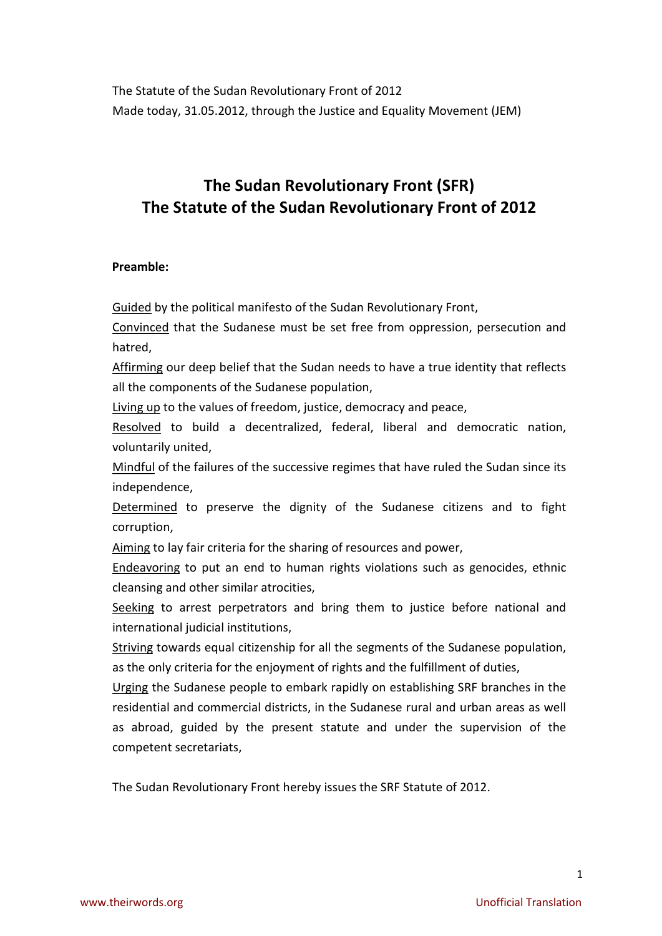The Statute of the Sudan Revolutionary Front of 2012 Made today, 31.05.2012, through the Justice and Equality Movement (JEM)

# **The Sudan Revolutionary Front (SFR) The Statute of the Sudan Revolutionary Front of 2012**

## **Preamble:**

Guided by the political manifesto of the Sudan Revolutionary Front,

Convinced that the Sudanese must be set free from oppression, persecution and hatred,

Affirming our deep belief that the Sudan needs to have a true identity that reflects all the components of the Sudanese population,

Living up to the values of freedom, justice, democracy and peace,

Resolved to build a decentralized, federal, liberal and democratic nation, voluntarily united,

Mindful of the failures of the successive regimes that have ruled the Sudan since its independence,

Determined to preserve the dignity of the Sudanese citizens and to fight corruption,

Aiming to lay fair criteria for the sharing of resources and power,

Endeavoring to put an end to human rights violations such as genocides, ethnic cleansing and other similar atrocities,

Seeking to arrest perpetrators and bring them to justice before national and international judicial institutions,

Striving towards equal citizenship for all the segments of the Sudanese population, as the only criteria for the enjoyment of rights and the fulfillment of duties,

Urging the Sudanese people to embark rapidly on establishing SRF branches in the residential and commercial districts, in the Sudanese rural and urban areas as well as abroad, guided by the present statute and under the supervision of the competent secretariats,

The Sudan Revolutionary Front hereby issues the SRF Statute of 2012.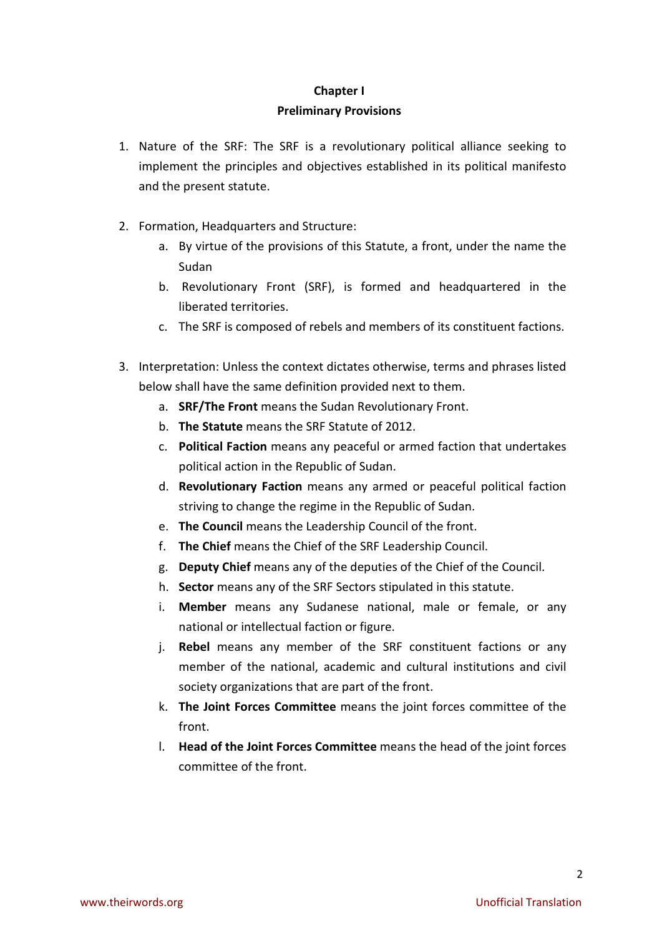# **Chapter I Preliminary Provisions**

- 1. Nature of the SRF: The SRF is a revolutionary political alliance seeking to implement the principles and objectives established in its political manifesto and the present statute.
- 2. Formation, Headquarters and Structure:
	- a. By virtue of the provisions of this Statute, a front, under the name the Sudan
	- b. Revolutionary Front (SRF), is formed and headquartered in the liberated territories.
	- c. The SRF is composed of rebels and members of its constituent factions.
- 3. Interpretation: Unless the context dictates otherwise, terms and phrases listed below shall have the same definition provided next to them.
	- a. **SRF/The Front** means the Sudan Revolutionary Front.
	- b. **The Statute** means the SRF Statute of 2012.
	- c. **Political Faction** means any peaceful or armed faction that undertakes political action in the Republic of Sudan.
	- d. **Revolutionary Faction** means any armed or peaceful political faction striving to change the regime in the Republic of Sudan.
	- e. **The Council** means the Leadership Council of the front.
	- f. **The Chief** means the Chief of the SRF Leadership Council.
	- g. **Deputy Chief** means any of the deputies of the Chief of the Council.
	- h. **Sector** means any of the SRF Sectors stipulated in this statute.
	- i. **Member** means any Sudanese national, male or female, or any national or intellectual faction or figure.
	- j. **Rebel** means any member of the SRF constituent factions or any member of the national, academic and cultural institutions and civil society organizations that are part of the front.
	- k. **The Joint Forces Committee** means the joint forces committee of the front.
	- l. **Head of the Joint Forces Committee** means the head of the joint forces committee of the front.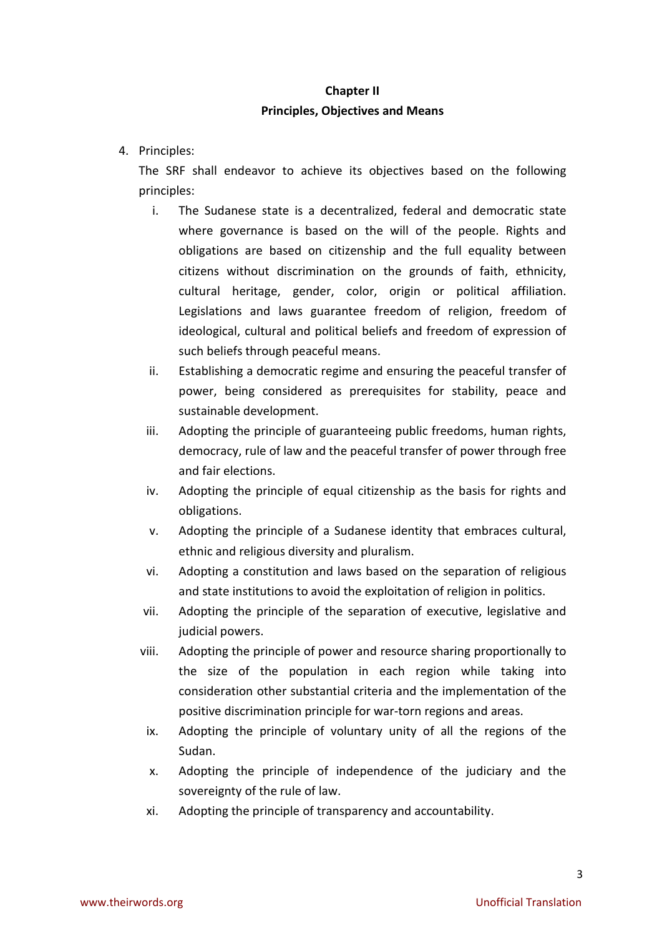# **Chapter II Principles, Objectives and Means**

4. Principles:

The SRF shall endeavor to achieve its objectives based on the following principles:

- i. The Sudanese state is a decentralized, federal and democratic state where governance is based on the will of the people. Rights and obligations are based on citizenship and the full equality between citizens without discrimination on the grounds of faith, ethnicity, cultural heritage, gender, color, origin or political affiliation. Legislations and laws guarantee freedom of religion, freedom of ideological, cultural and political beliefs and freedom of expression of such beliefs through peaceful means.
- ii. Establishing a democratic regime and ensuring the peaceful transfer of power, being considered as prerequisites for stability, peace and sustainable development.
- iii. Adopting the principle of guaranteeing public freedoms, human rights, democracy, rule of law and the peaceful transfer of power through free and fair elections.
- iv. Adopting the principle of equal citizenship as the basis for rights and obligations.
- v. Adopting the principle of a Sudanese identity that embraces cultural, ethnic and religious diversity and pluralism.
- vi. Adopting a constitution and laws based on the separation of religious and state institutions to avoid the exploitation of religion in politics.
- vii. Adopting the principle of the separation of executive, legislative and judicial powers.
- viii. Adopting the principle of power and resource sharing proportionally to the size of the population in each region while taking into consideration other substantial criteria and the implementation of the positive discrimination principle for war-torn regions and areas.
- ix. Adopting the principle of voluntary unity of all the regions of the Sudan.
- x. Adopting the principle of independence of the judiciary and the sovereignty of the rule of law.
- xi. Adopting the principle of transparency and accountability.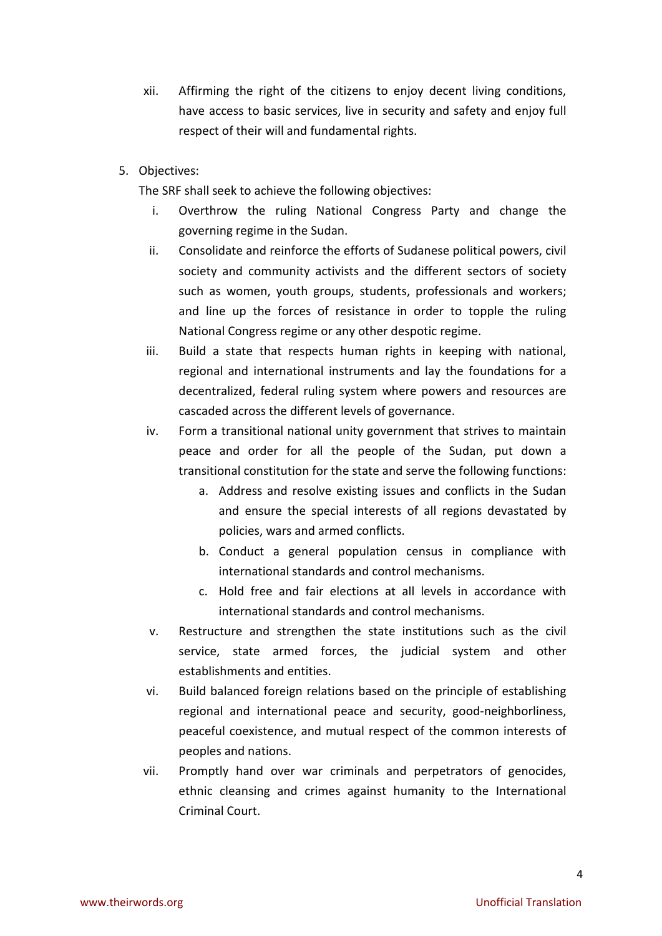- xii. Affirming the right of the citizens to enjoy decent living conditions, have access to basic services, live in security and safety and enjoy full respect of their will and fundamental rights.
- 5. Objectives:

The SRF shall seek to achieve the following objectives:

- i. Overthrow the ruling National Congress Party and change the governing regime in the Sudan.
- ii. Consolidate and reinforce the efforts of Sudanese political powers, civil society and community activists and the different sectors of society such as women, youth groups, students, professionals and workers; and line up the forces of resistance in order to topple the ruling National Congress regime or any other despotic regime.
- iii. Build a state that respects human rights in keeping with national, regional and international instruments and lay the foundations for a decentralized, federal ruling system where powers and resources are cascaded across the different levels of governance.
- iv. Form a transitional national unity government that strives to maintain peace and order for all the people of the Sudan, put down a transitional constitution for the state and serve the following functions:
	- a. Address and resolve existing issues and conflicts in the Sudan and ensure the special interests of all regions devastated by policies, wars and armed conflicts.
	- b. Conduct a general population census in compliance with international standards and control mechanisms.
	- c. Hold free and fair elections at all levels in accordance with international standards and control mechanisms.
- v. Restructure and strengthen the state institutions such as the civil service, state armed forces, the judicial system and other establishments and entities.
- vi. Build balanced foreign relations based on the principle of establishing regional and international peace and security, good-neighborliness, peaceful coexistence, and mutual respect of the common interests of peoples and nations.
- vii. Promptly hand over war criminals and perpetrators of genocides, ethnic cleansing and crimes against humanity to the International Criminal Court.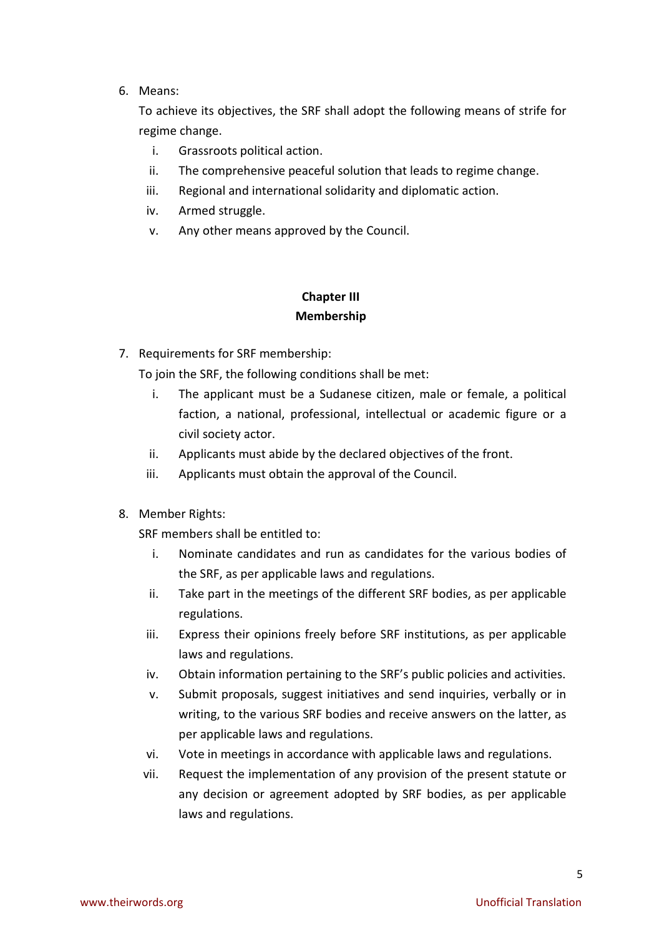## 6. Means:

To achieve its objectives, the SRF shall adopt the following means of strife for regime change.

- i. Grassroots political action.
- ii. The comprehensive peaceful solution that leads to regime change.
- iii. Regional and international solidarity and diplomatic action.
- iv. Armed struggle.
- v. Any other means approved by the Council.

# **Chapter III Membership**

7. Requirements for SRF membership:

To join the SRF, the following conditions shall be met:

- i. The applicant must be a Sudanese citizen, male or female, a political faction, a national, professional, intellectual or academic figure or a civil society actor.
- ii. Applicants must abide by the declared objectives of the front.
- iii. Applicants must obtain the approval of the Council.
- 8. Member Rights:

SRF members shall be entitled to:

- i. Nominate candidates and run as candidates for the various bodies of the SRF, as per applicable laws and regulations.
- ii. Take part in the meetings of the different SRF bodies, as per applicable regulations.
- iii. Express their opinions freely before SRF institutions, as per applicable laws and regulations.
- iv. Obtain information pertaining to the SRF's public policies and activities.
- v. Submit proposals, suggest initiatives and send inquiries, verbally or in writing, to the various SRF bodies and receive answers on the latter, as per applicable laws and regulations.
- vi. Vote in meetings in accordance with applicable laws and regulations.
- vii. Request the implementation of any provision of the present statute or any decision or agreement adopted by SRF bodies, as per applicable laws and regulations.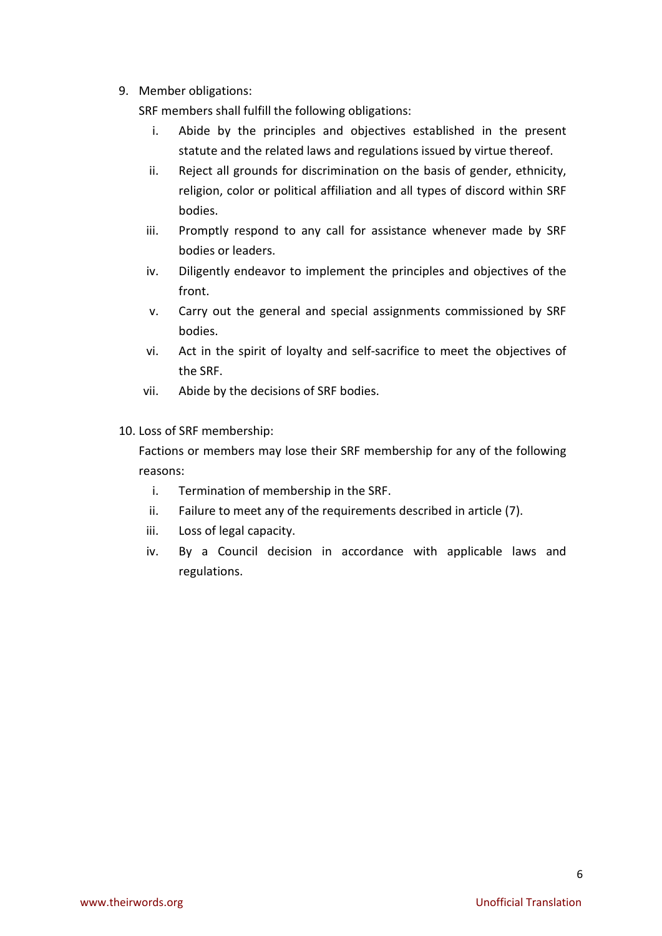9. Member obligations:

SRF members shall fulfill the following obligations:

- i. Abide by the principles and objectives established in the present statute and the related laws and regulations issued by virtue thereof.
- ii. Reject all grounds for discrimination on the basis of gender, ethnicity, religion, color or political affiliation and all types of discord within SRF bodies.
- iii. Promptly respond to any call for assistance whenever made by SRF bodies or leaders.
- iv. Diligently endeavor to implement the principles and objectives of the front.
- v. Carry out the general and special assignments commissioned by SRF bodies.
- vi. Act in the spirit of loyalty and self-sacrifice to meet the objectives of the SRF.
- vii. Abide by the decisions of SRF bodies.
- 10. Loss of SRF membership:

Factions or members may lose their SRF membership for any of the following reasons:

- i. Termination of membership in the SRF.
- ii. Failure to meet any of the requirements described in article (7).
- iii. Loss of legal capacity.
- iv. By a Council decision in accordance with applicable laws and regulations.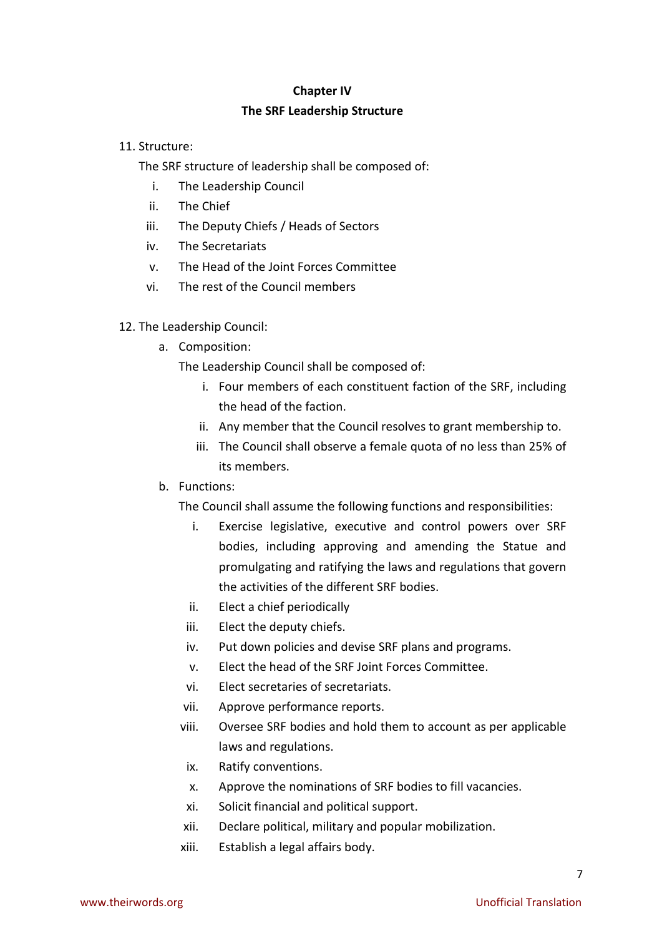# **Chapter IV The SRF Leadership Structure**

## 11. Structure:

The SRF structure of leadership shall be composed of:

- i. The Leadership Council
- ii. The Chief
- iii. The Deputy Chiefs / Heads of Sectors
- iv. The Secretariats
- v. The Head of the Joint Forces Committee
- vi. The rest of the Council members
- 12. The Leadership Council:
	- a. Composition:

The Leadership Council shall be composed of:

- i. Four members of each constituent faction of the SRF, including the head of the faction.
- ii. Any member that the Council resolves to grant membership to.
- iii. The Council shall observe a female quota of no less than 25% of its members.
- b. Functions:

The Council shall assume the following functions and responsibilities:

- i. Exercise legislative, executive and control powers over SRF bodies, including approving and amending the Statue and promulgating and ratifying the laws and regulations that govern the activities of the different SRF bodies.
- ii. Elect a chief periodically
- iii. Elect the deputy chiefs.
- iv. Put down policies and devise SRF plans and programs.
- v. Elect the head of the SRF Joint Forces Committee.
- vi. Elect secretaries of secretariats.
- vii. Approve performance reports.
- viii. Oversee SRF bodies and hold them to account as per applicable laws and regulations.
- ix. Ratify conventions.
- x. Approve the nominations of SRF bodies to fill vacancies.
- xi. Solicit financial and political support.
- xii. Declare political, military and popular mobilization.
- xiii. Establish a legal affairs body.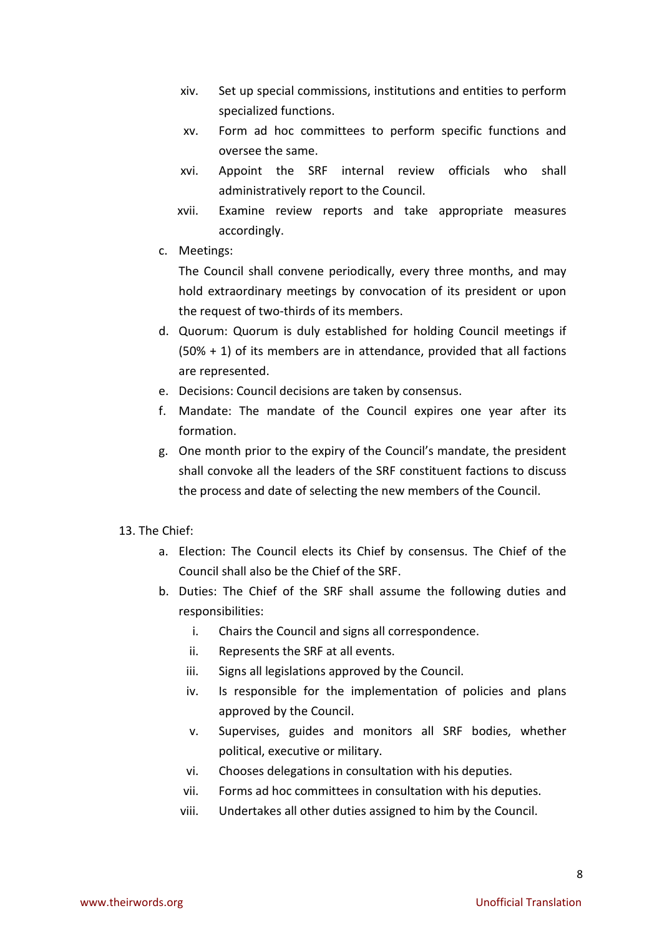- xiv. Set up special commissions, institutions and entities to perform specialized functions.
- xv. Form ad hoc committees to perform specific functions and oversee the same.
- xvi. Appoint the SRF internal review officials who shall administratively report to the Council.
- xvii. Examine review reports and take appropriate measures accordingly.
- c. Meetings:

The Council shall convene periodically, every three months, and may hold extraordinary meetings by convocation of its president or upon the request of two-thirds of its members.

- d. Quorum: Quorum is duly established for holding Council meetings if (50% + 1) of its members are in attendance, provided that all factions are represented.
- e. Decisions: Council decisions are taken by consensus.
- f. Mandate: The mandate of the Council expires one year after its formation.
- g. One month prior to the expiry of the Council's mandate, the president shall convoke all the leaders of the SRF constituent factions to discuss the process and date of selecting the new members of the Council.
- 13. The Chief.
	- a. Election: The Council elects its Chief by consensus. The Chief of the Council shall also be the Chief of the SRF.
	- b. Duties: The Chief of the SRF shall assume the following duties and responsibilities:
		- i. Chairs the Council and signs all correspondence.
		- ii. Represents the SRF at all events.
		- iii. Signs all legislations approved by the Council.
		- iv. Is responsible for the implementation of policies and plans approved by the Council.
		- v. Supervises, guides and monitors all SRF bodies, whether political, executive or military.
		- vi. Chooses delegations in consultation with his deputies.
		- vii. Forms ad hoc committees in consultation with his deputies.
		- viii. Undertakes all other duties assigned to him by the Council.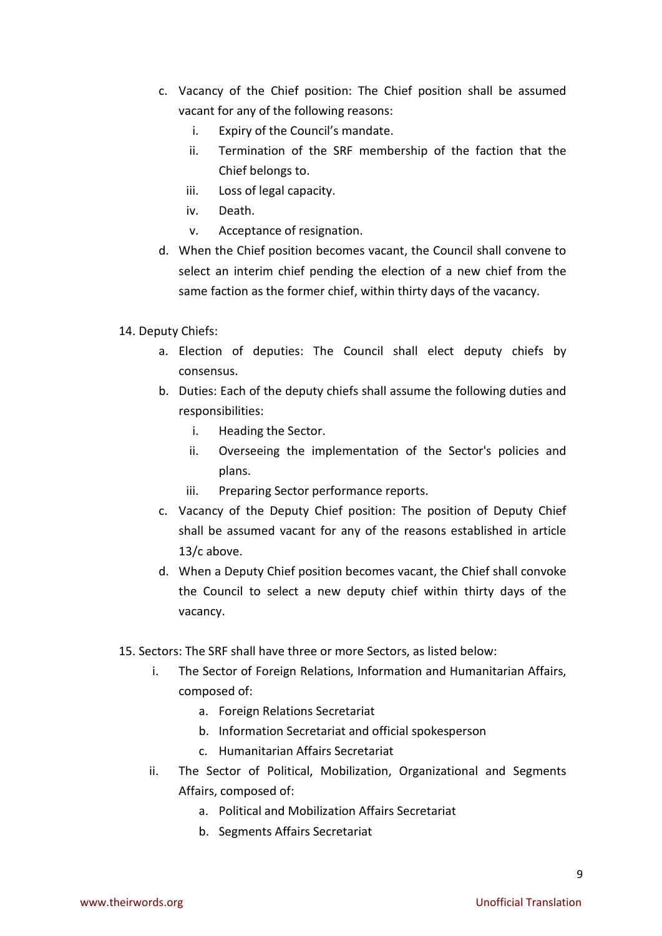- c. Vacancy of the Chief position: The Chief position shall be assumed vacant for any of the following reasons:
	- i. Expiry of the Council's mandate.
	- ii. Termination of the SRF membership of the faction that the Chief belongs to.
	- iii. Loss of legal capacity.
	- iv. Death.
	- v. Acceptance of resignation.
- d. When the Chief position becomes vacant, the Council shall convene to select an interim chief pending the election of a new chief from the same faction as the former chief, within thirty days of the vacancy.

## 14. Deputy Chiefs:

- a. Election of deputies: The Council shall elect deputy chiefs by consensus.
- b. Duties: Each of the deputy chiefs shall assume the following duties and responsibilities:
	- i. Heading the Sector.
	- ii. Overseeing the implementation of the Sector's policies and plans.
	- iii. Preparing Sector performance reports.
- c. Vacancy of the Deputy Chief position: The position of Deputy Chief shall be assumed vacant for any of the reasons established in article 13/c above.
- d. When a Deputy Chief position becomes vacant, the Chief shall convoke the Council to select a new deputy chief within thirty days of the vacancy.
- 15. Sectors: The SRF shall have three or more Sectors, as listed below:
	- i. The Sector of Foreign Relations, Information and Humanitarian Affairs, composed of:
		- a. Foreign Relations Secretariat
		- b. Information Secretariat and official spokesperson
		- c. Humanitarian Affairs Secretariat
	- ii. The Sector of Political, Mobilization, Organizational and Segments Affairs, composed of:
		- a. Political and Mobilization Affairs Secretariat
		- b. Segments Affairs Secretariat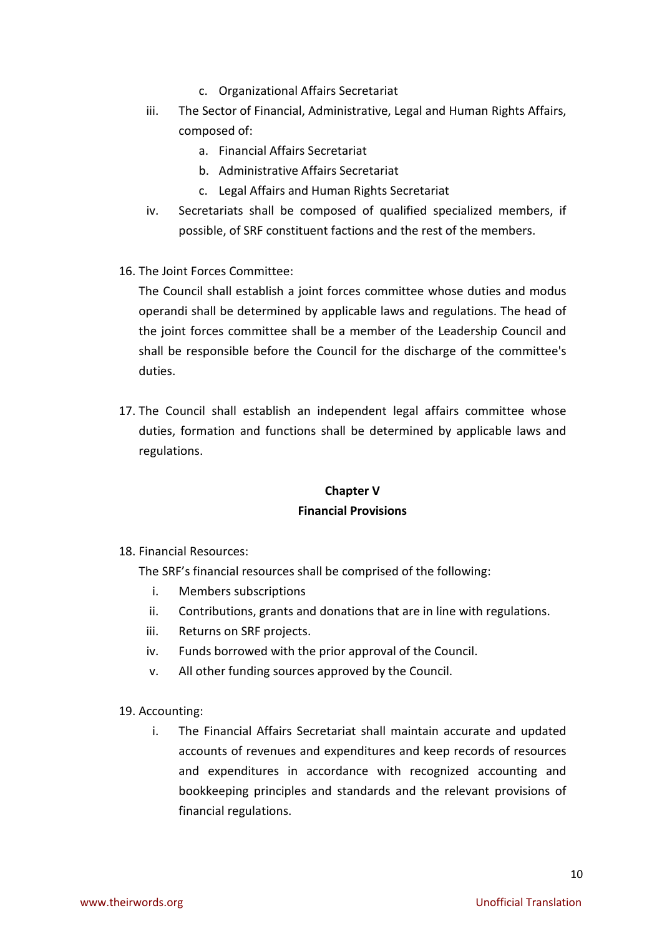- c. Organizational Affairs Secretariat
- iii. The Sector of Financial, Administrative, Legal and Human Rights Affairs, composed of:
	- a. Financial Affairs Secretariat
	- b. Administrative Affairs Secretariat
	- c. Legal Affairs and Human Rights Secretariat
- iv. Secretariats shall be composed of qualified specialized members, if possible, of SRF constituent factions and the rest of the members.
- 16. The Joint Forces Committee:

The Council shall establish a joint forces committee whose duties and modus operandi shall be determined by applicable laws and regulations. The head of the joint forces committee shall be a member of the Leadership Council and shall be responsible before the Council for the discharge of the committee's duties.

17. The Council shall establish an independent legal affairs committee whose duties, formation and functions shall be determined by applicable laws and regulations.

# **Chapter V Financial Provisions**

18. Financial Resources:

The SRF's financial resources shall be comprised of the following:

- i. Members subscriptions
- ii. Contributions, grants and donations that are in line with regulations.
- iii. Returns on SRF projects.
- iv. Funds borrowed with the prior approval of the Council.
- v. All other funding sources approved by the Council.
- 19. Accounting:
	- i. The Financial Affairs Secretariat shall maintain accurate and updated accounts of revenues and expenditures and keep records of resources and expenditures in accordance with recognized accounting and bookkeeping principles and standards and the relevant provisions of financial regulations.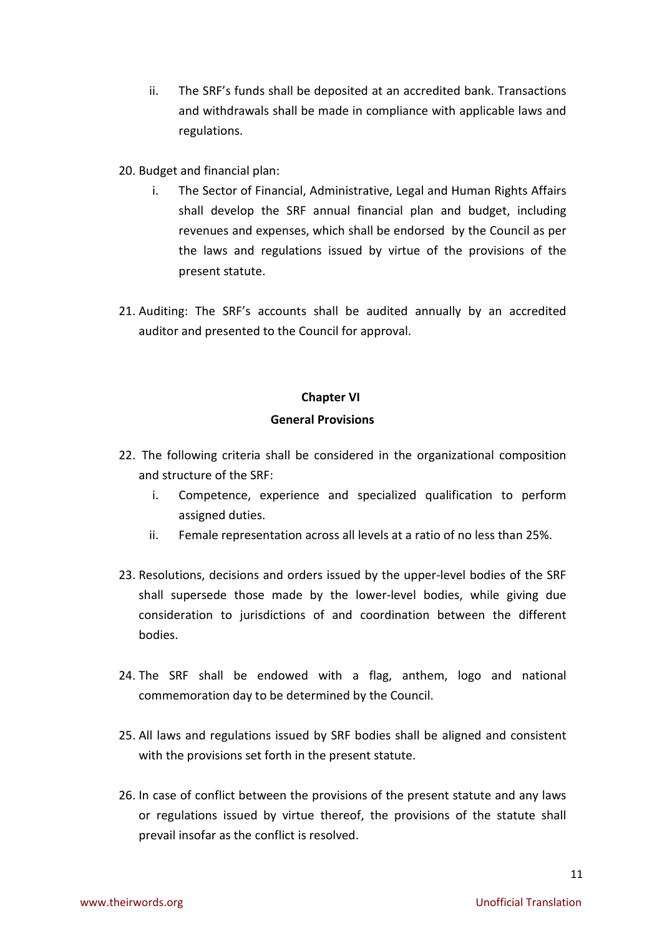- ii. The SRF's funds shall be deposited at an accredited bank. Transactions and withdrawals shall be made in compliance with applicable laws and regulations.
- 20. Budget and financial plan:
	- i. The Sector of Financial, Administrative, Legal and Human Rights Affairs shall develop the SRF annual financial plan and budget, including revenues and expenses, which shall be endorsed by the Council as per the laws and regulations issued by virtue of the provisions of the present statute.
- 21. Auditing: The SRF's accounts shall be audited annually by an accredited auditor and presented to the Council for approval.

### **Chapter VI**

### **General Provisions**

- 22. The following criteria shall be considered in the organizational composition and structure of the SRF:
	- i. Competence, experience and specialized qualification to perform assigned duties.
	- ii. Female representation across all levels at a ratio of no less than 25%.
- 23. Resolutions, decisions and orders issued by the upper-level bodies of the SRF shall supersede those made by the lower-level bodies, while giving due consideration to jurisdictions of and coordination between the different bodies.
- 24. The SRF shall be endowed with a flag, anthem, logo and national commemoration day to be determined by the Council.
- 25. All laws and regulations issued by SRF bodies shall be aligned and consistent with the provisions set forth in the present statute.
- 26. In case of conflict between the provisions of the present statute and any laws or regulations issued by virtue thereof, the provisions of the statute shall prevail insofar as the conflict is resolved.